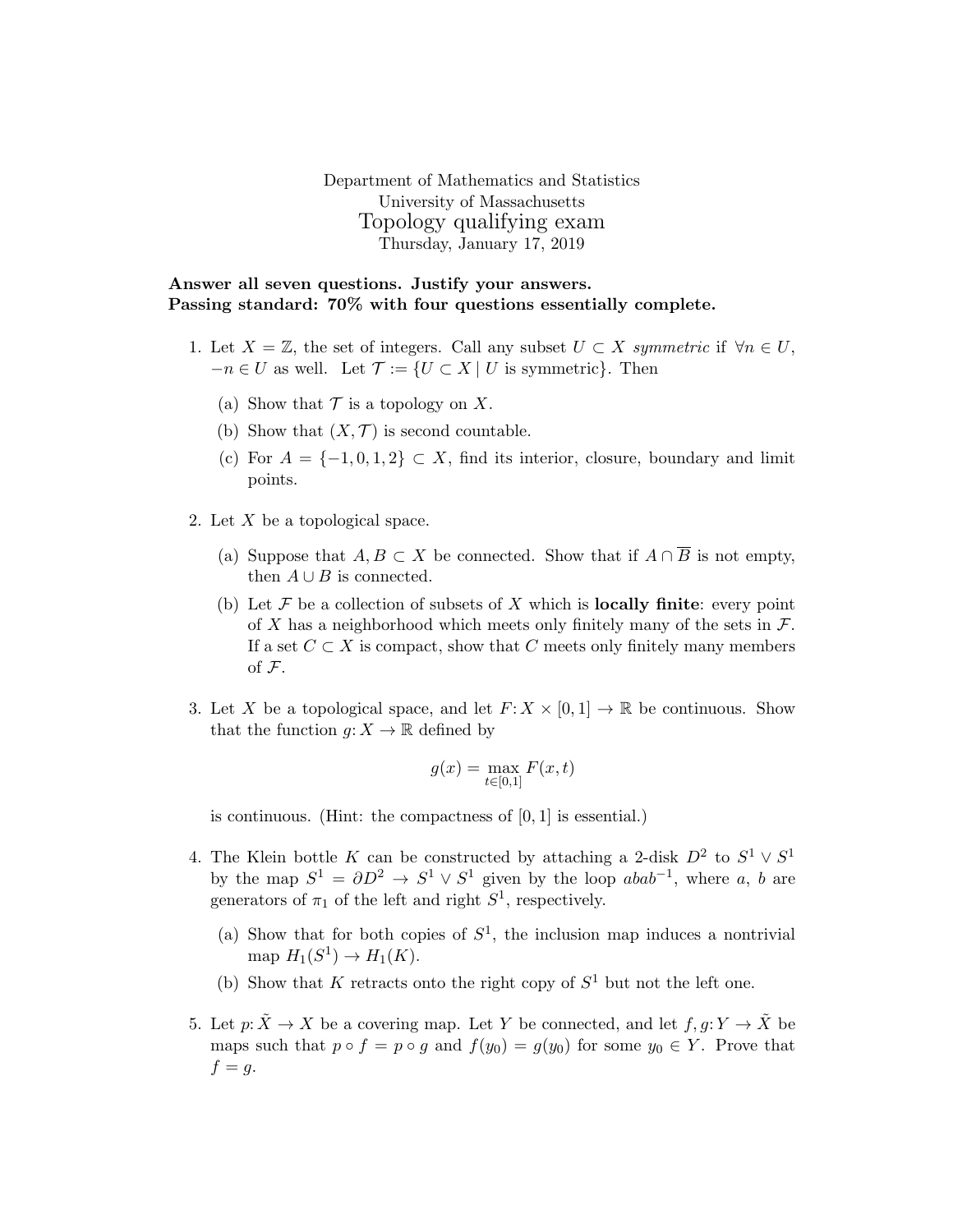Department of Mathematics and Statistics University of Massachusetts Topology qualifying exam Thursday, January 17, 2019

Answer all seven questions. Justify your answers. Passing standard: 70% with four questions essentially complete.

- 1. Let  $X = \mathbb{Z}$ , the set of integers. Call any subset  $U \subset X$  symmetric if  $\forall n \in U$ ,  $-n \in U$  as well. Let  $\mathcal{T} := \{U \subset X \mid U$  is symmetric}. Then
	- (a) Show that  $\mathcal T$  is a topology on X.
	- (b) Show that  $(X, \mathcal{T})$  is second countable.
	- (c) For  $A = \{-1, 0, 1, 2\} \subset X$ , find its interior, closure, boundary and limit points.
- 2. Let X be a topological space.
	- (a) Suppose that  $A, B \subset X$  be connected. Show that if  $A \cap \overline{B}$  is not empty, then  $A \cup B$  is connected.
	- (b) Let  $\mathcal F$  be a collection of subsets of X which is **locally finite**: every point of X has a neighborhood which meets only finitely many of the sets in  $\mathcal{F}$ . If a set  $C \subset X$  is compact, show that C meets only finitely many members of F.
- 3. Let X be a topological space, and let  $F: X \times [0,1] \to \mathbb{R}$  be continuous. Show that the function  $q: X \to \mathbb{R}$  defined by

$$
g(x) = \max_{t \in [0,1]} F(x,t)
$$

is continuous. (Hint: the compactness of [0, 1] is essential.)

- 4. The Klein bottle K can be constructed by attaching a 2-disk  $D^2$  to  $S^1 \vee S^1$ by the map  $S^1 = \partial D^2 \to S^1 \vee S^1$  given by the loop  $abab^{-1}$ , where a, b are generators of  $\pi_1$  of the left and right  $S^1$ , respectively.
	- (a) Show that for both copies of  $S^1$ , the inclusion map induces a nontrivial map  $H_1(S^1) \to H_1(K)$ .
	- (b) Show that K retracts onto the right copy of  $S^1$  but not the left one.
- 5. Let  $p: \tilde{X} \to X$  be a covering map. Let Y be connected, and let  $f, g: Y \to \tilde{X}$  be maps such that  $p \circ f = p \circ g$  and  $f(y_0) = g(y_0)$  for some  $y_0 \in Y$ . Prove that  $f = g$ .